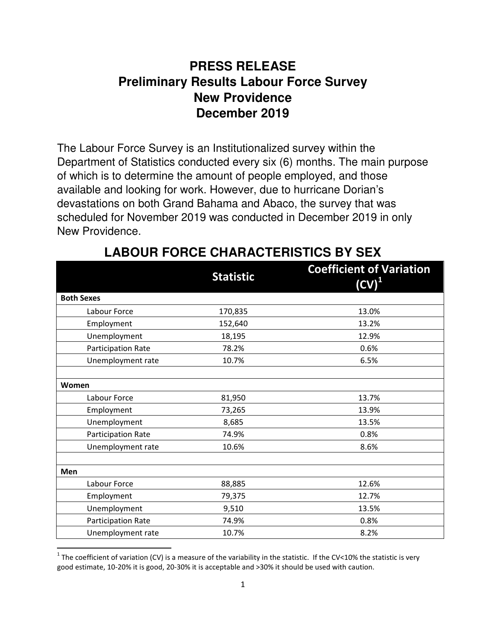### **PRESS RELEASE Preliminary Results Labour Force Survey New Providence December 2019**

The Labour Force Survey is an Institutionalized survey within the Department of Statistics conducted every six (6) months. The main purpose of which is to determine the amount of people employed, and those available and looking for work. However, due to hurricane Dorian's devastations on both Grand Bahama and Abaco, the survey that was scheduled for November 2019 was conducted in December 2019 in only New Providence.

|                    | <b>Statistic</b> | <b>Coefficient of Variation</b><br>$(CV)^1$ |
|--------------------|------------------|---------------------------------------------|
| <b>Both Sexes</b>  |                  |                                             |
| Labour Force       | 170,835          | 13.0%                                       |
| Employment         | 152,640          | 13.2%                                       |
| Unemployment       | 18,195           | 12.9%                                       |
| Participation Rate | 78.2%            | 0.6%                                        |
| Unemployment rate  | 10.7%            | 6.5%                                        |
| Women              |                  |                                             |
| Labour Force       | 81,950           | 13.7%                                       |
| Employment         | 73,265           | 13.9%                                       |
| Unemployment       | 8,685            | 13.5%                                       |
| Participation Rate | 74.9%            | 0.8%                                        |
| Unemployment rate  | 10.6%            | 8.6%                                        |
| Men                |                  |                                             |
| Labour Force       | 88,885           | 12.6%                                       |
| Employment         | 79,375           | 12.7%                                       |
| Unemployment       | 9,510            | 13.5%                                       |
| Participation Rate | 74.9%            | 0.8%                                        |
| Unemployment rate  | 10.7%            | 8.2%                                        |

# **LABOUR FORCE CHARACTERISTICS BY SEX**

<u>.</u>

<sup>&</sup>lt;sup>1</sup> The coefficient of variation (CV) is a measure of the variability in the statistic. If the CV<10% the statistic is very good estimate, 10-20% it is good, 20-30% it is acceptable and >30% it should be used with caution.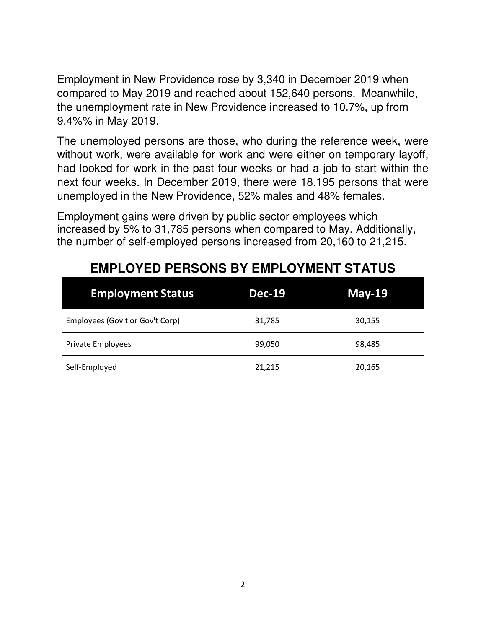Employment in New Providence rose by 3,340 in December 2019 when compared to May 2019 and reached about 152,640 persons. Meanwhile, the unemployment rate in New Providence increased to 10.7%, up from 9.4%% in May 2019.

The unemployed persons are those, who during the reference week, were without work, were available for work and were either on temporary layoff, had looked for work in the past four weeks or had a job to start within the next four weeks. In December 2019, there were 18,195 persons that were unemployed in the New Providence, 52% males and 48% females.

Employment gains were driven by public sector employees which increased by 5% to 31,785 persons when compared to May. Additionally, the number of self-employed persons increased from 20,160 to 21,215.

| <b>Employment Status</b>        | <b>Dec-19</b> | May-19 |
|---------------------------------|---------------|--------|
| Employees (Gov't or Gov't Corp) | 31,785        | 30,155 |
| Private Employees               | 99,050        | 98,485 |
| Self-Employed                   | 21,215        | 20,165 |

### **EMPLOYED PERSONS BY EMPLOYMENT STATUS**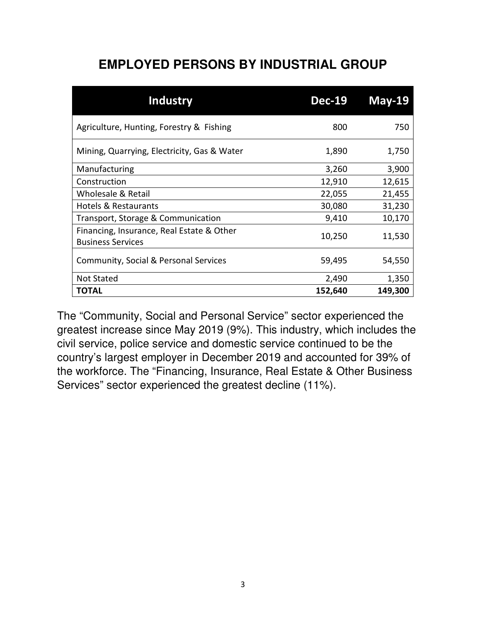# **EMPLOYED PERSONS BY INDUSTRIAL GROUP**

| <b>Industry</b>                                                       | <b>Dec-19</b> | $May-19$ |
|-----------------------------------------------------------------------|---------------|----------|
| Agriculture, Hunting, Forestry & Fishing                              | 800           | 750      |
| Mining, Quarrying, Electricity, Gas & Water                           | 1,890         | 1,750    |
| Manufacturing                                                         | 3,260         | 3,900    |
| Construction                                                          | 12,910        | 12,615   |
| Wholesale & Retail                                                    | 22,055        | 21,455   |
| <b>Hotels &amp; Restaurants</b>                                       | 30,080        | 31,230   |
| Transport, Storage & Communication                                    | 9,410         | 10,170   |
| Financing, Insurance, Real Estate & Other<br><b>Business Services</b> | 10,250        | 11,530   |
| Community, Social & Personal Services                                 | 59,495        | 54,550   |
| <b>Not Stated</b>                                                     | 2,490         | 1,350    |
| TOTAL                                                                 | 152,640       | 149,300  |

The "Community, Social and Personal Service" sector experienced the greatest increase since May 2019 (9%). This industry, which includes the civil service, police service and domestic service continued to be the country's largest employer in December 2019 and accounted for 39% of the workforce. The "Financing, Insurance, Real Estate & Other Business Services" sector experienced the greatest decline (11%).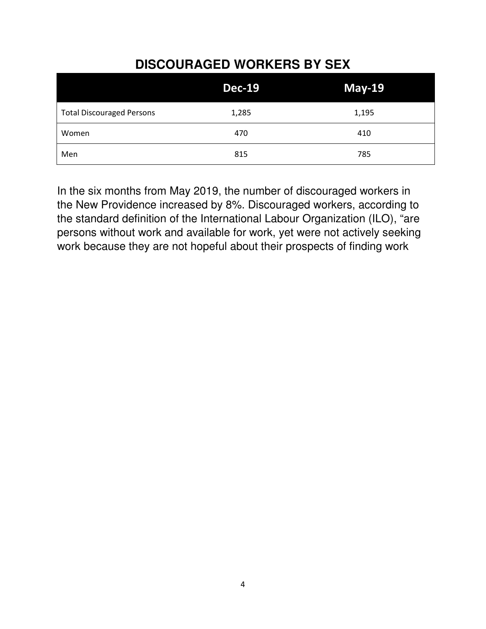# **DISCOURAGED WORKERS BY SEX**

|                                  | <b>Dec-19</b> | $May-19$ |
|----------------------------------|---------------|----------|
| <b>Total Discouraged Persons</b> | 1,285         | 1,195    |
| Women                            | 470           | 410      |
| Men                              | 815           | 785      |

In the six months from May 2019, the number of discouraged workers in the New Providence increased by 8%. Discouraged workers, according to the standard definition of the International Labour Organization (ILO), "are persons without work and available for work, yet were not actively seeking work because they are not hopeful about their prospects of finding work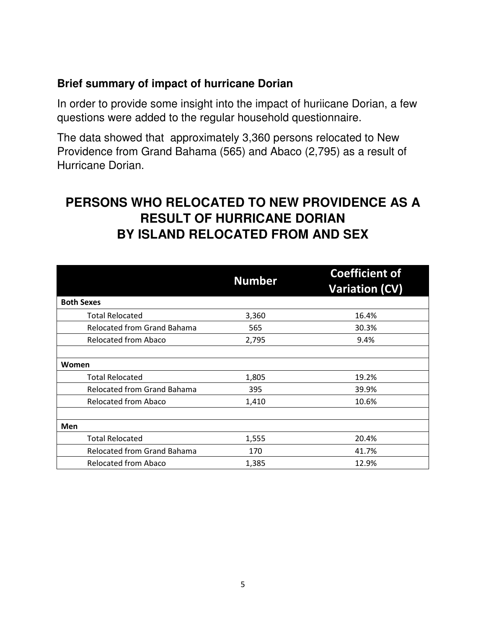#### **Brief summary of impact of hurricane Dorian**

In order to provide some insight into the impact of huriicane Dorian, a few questions were added to the regular household questionnaire.

The data showed that approximately 3,360 persons relocated to New Providence from Grand Bahama (565) and Abaco (2,795) as a result of Hurricane Dorian.

## **PERSONS WHO RELOCATED TO NEW PROVIDENCE AS A RESULT OF HURRICANE DORIAN BY ISLAND RELOCATED FROM AND SEX**

|                                    | <b>Number</b> | <b>Coefficient of</b><br><b>Variation (CV)</b> |
|------------------------------------|---------------|------------------------------------------------|
| <b>Both Sexes</b>                  |               |                                                |
| <b>Total Relocated</b>             | 3,360         | 16.4%                                          |
| Relocated from Grand Bahama        | 565           | 30.3%                                          |
| Relocated from Abaco               | 2,795         | 9.4%                                           |
|                                    |               |                                                |
| Women                              |               |                                                |
| <b>Total Relocated</b>             | 1,805         | 19.2%                                          |
| <b>Relocated from Grand Bahama</b> | 395           | 39.9%                                          |
| <b>Relocated from Abaco</b>        | 1,410         | 10.6%                                          |
|                                    |               |                                                |
| Men                                |               |                                                |
| <b>Total Relocated</b>             | 1,555         | 20.4%                                          |
| <b>Relocated from Grand Bahama</b> | 170           | 41.7%                                          |
| Relocated from Abaco               | 1,385         | 12.9%                                          |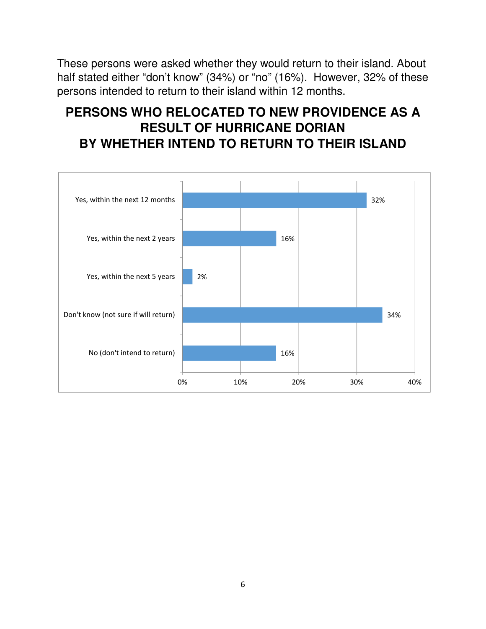These persons were asked whether they would return to their island. About half stated either "don't know" (34%) or "no" (16%). However, 32% of these persons intended to return to their island within 12 months.

# **PERSONS WHO RELOCATED TO NEW PROVIDENCE AS A RESULT OF HURRICANE DORIAN BY WHETHER INTEND TO RETURN TO THEIR ISLAND**

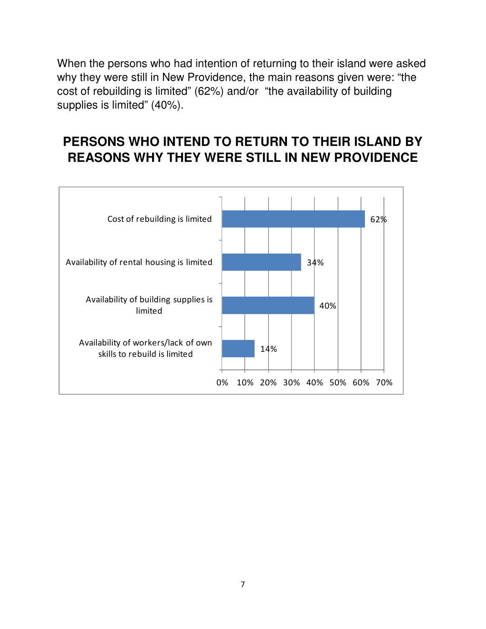When the persons who had intention of returning to their island were asked why they were still in New Providence, the main reasons given were: "the cost of rebuilding is limited" (62%) and/or "the availability of building supplies is limited" (40%).

# **PERSONS WHO INTEND TO RETURN TO THEIR ISLAND BY REASONS WHY THEY WERE STILL IN NEW PROVIDENCE**